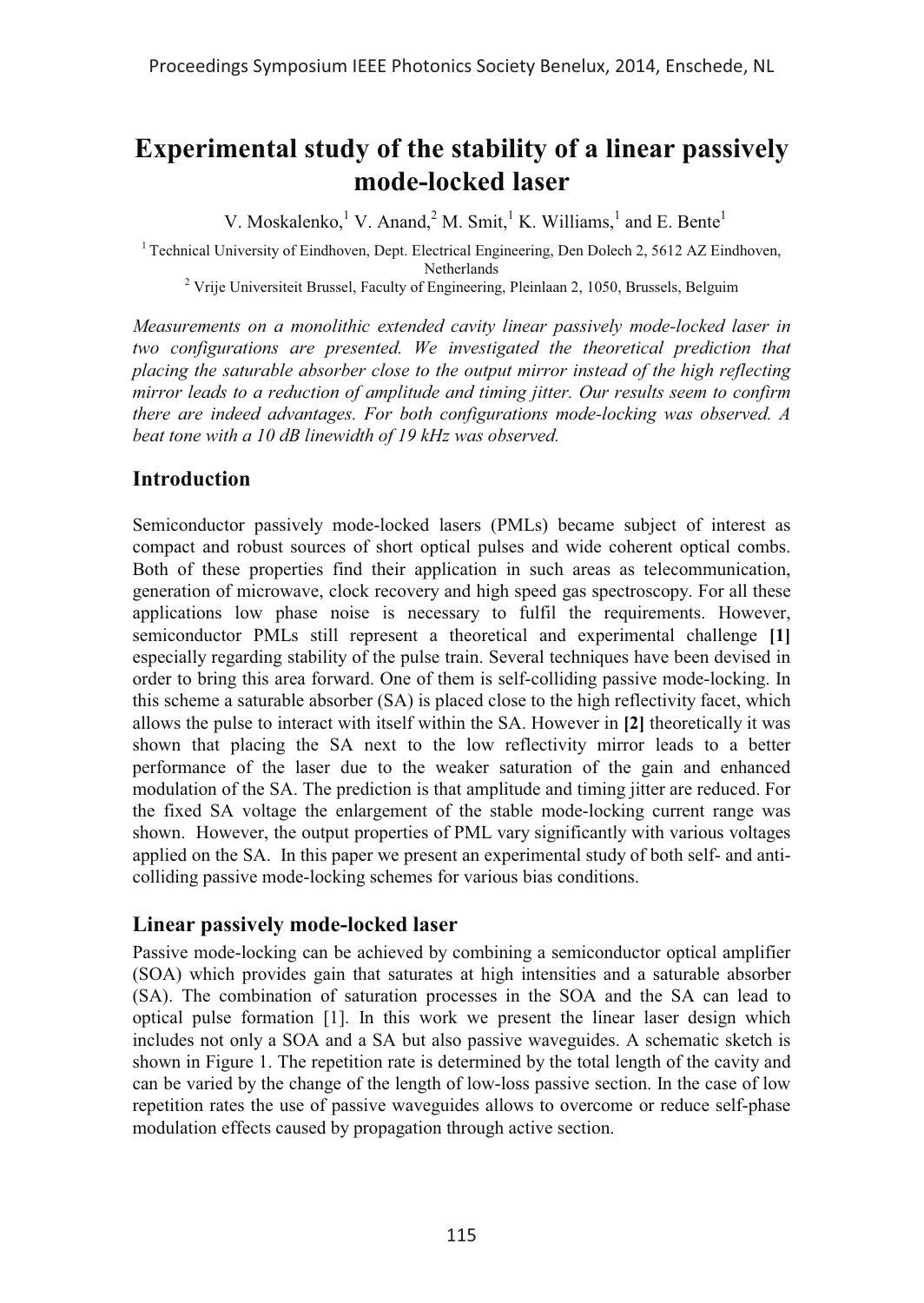# **Experimental study of the stability of a linear passively mode-locked laser**

V. Moskalenko,<sup>1</sup> V. Anand,<sup>2</sup> M. Smit,<sup>1</sup> K. Williams,<sup>1</sup> and E. Bente<sup>1</sup>

 $1$ <sup>1</sup> Technical University of Eindhoven, Dept. Electrical Engineering, Den Dolech 2, 5612 AZ Eindhoven,

Netherlands <sup>2</sup> Vrije Universiteit Brussel, Faculty of Engineering, Pleinlaan 2, 1050, Brussels, Belguim

*Measurements on a monolithic extended cavity linear passively mode-locked laser in two configurations are presented. We investigated the theoretical prediction that placing the saturable absorber close to the output mirror instead of the high reflecting mirror leads to a reduction of amplitude and timing jitter. Our results seem to confirm there are indeed advantages. For both configurations mode-locking was observed. A beat tone with a 10 dB linewidth of 19 kHz was observed.*

## **Introduction**

Semiconductor passively mode-locked lasers (PMLs) became subject of interest as compact and robust sources of short optical pulses and wide coherent optical combs. Both of these properties find their application in such areas as telecommunication, generation of microwave, clock recovery and high speed gas spectroscopy. For all these applications low phase noise is necessary to fulfil the requirements. However, semiconductor PMLs still represent a theoretical and experimental challenge **[1]** especially regarding stability of the pulse train. Several techniques have been devised in order to bring this area forward. One of them is self-colliding passive mode-locking. In this scheme a saturable absorber (SA) is placed close to the high reflectivity facet, which allows the pulse to interact with itself within the SA. However in **[2]** theoretically it was shown that placing the SA next to the low reflectivity mirror leads to a better performance of the laser due to the weaker saturation of the gain and enhanced modulation of the SA. The prediction is that amplitude and timing jitter are reduced. For the fixed SA voltage the enlargement of the stable mode-locking current range was shown. However, the output properties of PML vary significantly with various voltages applied on the SA. In this paper we present an experimental study of both self- and anticolliding passive mode-locking schemes for various bias conditions.

### **Linear passively mode-locked laser**

Passive mode-locking can be achieved by combining a semiconductor optical amplifier (SOA) which provides gain that saturates at high intensities and a saturable absorber (SA). The combination of saturation processes in the SOA and the SA can lead to optical pulse formation [1]. In this work we present the linear laser design which includes not only a SOA and a SA but also passive waveguides. A schematic sketch is shown in Figure 1. The repetition rate is determined by the total length of the cavity and can be varied by the change of the length of low-loss passive section. In the case of low repetition rates the use of passive waveguides allows to overcome or reduce self-phase modulation effects caused by propagation through active section.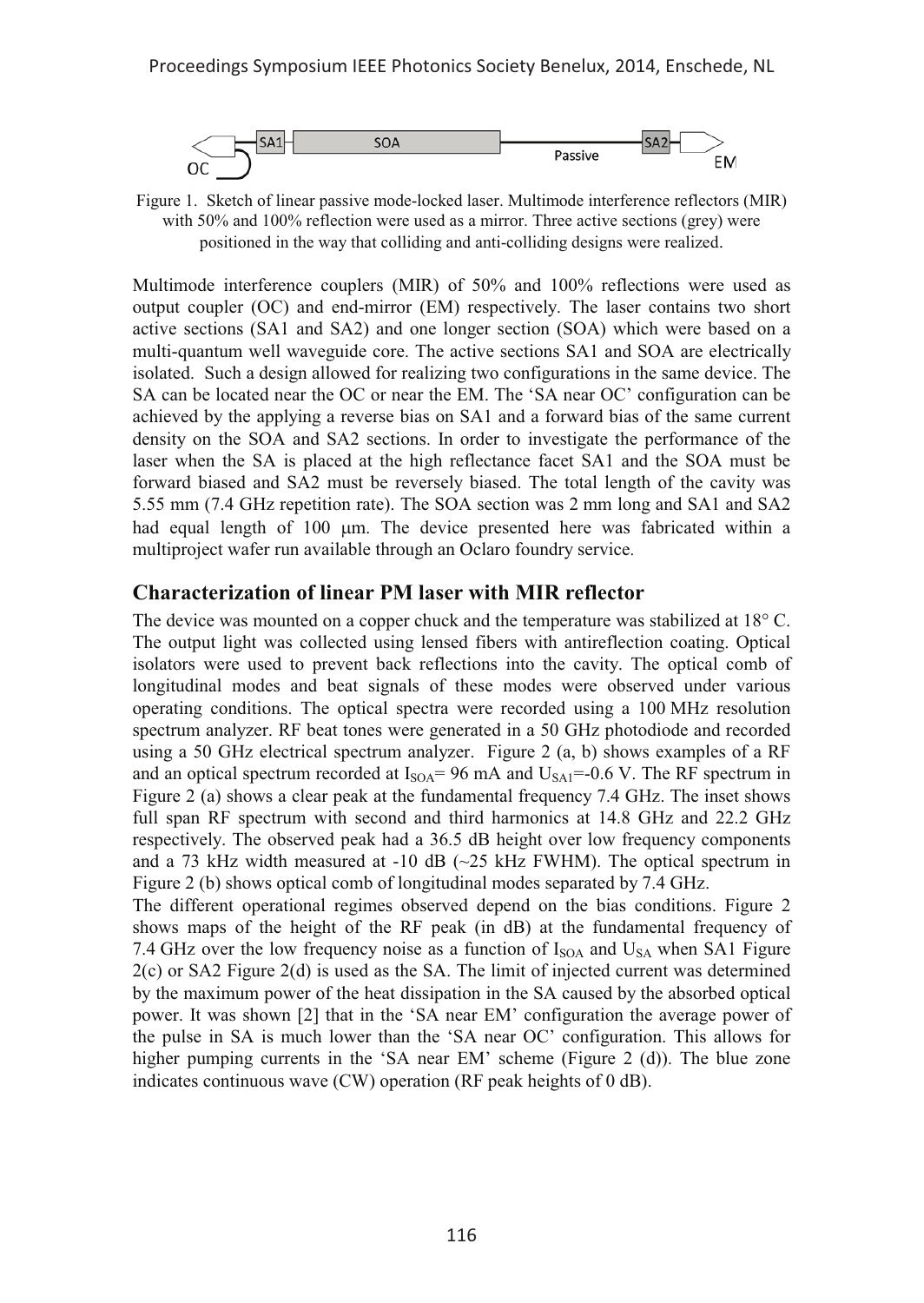

Figure 1. Sketch of linear passive mode-locked laser. Multimode interference reflectors (MIR) with 50% and 100% reflection were used as a mirror. Three active sections (grey) were positioned in the way that colliding and anti-colliding designs were realized.

Multimode interference couplers (MIR) of 50% and 100% reflections were used as output coupler (OC) and end-mirror (EM) respectively. The laser contains two short active sections (SA1 and SA2) and one longer section (SOA) which were based on a multi-quantum well waveguide core. The active sections SA1 and SOA are electrically isolated. Such a design allowed for realizing two configurations in the same device. The SA can be located near the OC or near the EM. The 'SA near OC' configuration can be achieved by the applying a reverse bias on SA1 and a forward bias of the same current density on the SOA and SA2 sections. In order to investigate the performance of the laser when the SA is placed at the high reflectance facet SA1 and the SOA must be forward biased and SA2 must be reversely biased. The total length of the cavity was 5.55 mm (7.4 GHz repetition rate). The SOA section was 2 mm long and SA1 and SA2 had equal length of 100 µm. The device presented here was fabricated within a multiproject wafer run available through an Oclaro foundry service.

#### **Characterization of linear PM laser with MIR reflector**

The device was mounted on a copper chuck and the temperature was stabilized at  $18^{\circ}$  C. The output light was collected using lensed fibers with antireflection coating. Optical isolators were used to prevent back reflections into the cavity. The optical comb of longitudinal modes and beat signals of these modes were observed under various operating conditions. The optical spectra were recorded using a 100 MHz resolution spectrum analyzer. RF beat tones were generated in a 50 GHz photodiode and recorded using a 50 GHz electrical spectrum analyzer. Figure 2 (a, b) shows examples of a RF and an optical spectrum recorded at  $I_{\text{SOA}}$  = 96 mA and  $U_{\text{SA}}$  = -0.6 V. The RF spectrum in Figure 2 (a) shows a clear peak at the fundamental frequency 7.4 GHz. The inset shows full span RF spectrum with second and third harmonics at 14.8 GHz and 22.2 GHz respectively. The observed peak had a 36.5 dB height over low frequency components and a 73 kHz width measured at  $-10$  dB ( $-25$  kHz FWHM). The optical spectrum in Figure 2 (b) shows optical comb of longitudinal modes separated by 7.4 GHz.

The different operational regimes observed depend on the bias conditions. Figure 2 shows maps of the height of the RF peak (in dB) at the fundamental frequency of 7.4 GHz over the low frequency noise as a function of  $I<sub>SOA</sub>$  and  $U<sub>SA</sub>$  when SA1 Figure  $2(c)$  or SA2 Figure  $2(d)$  is used as the SA. The limit of injected current was determined by the maximum power of the heat dissipation in the SA caused by the absorbed optical power. It was shown [2] that in the 'SA near EM' configuration the average power of the pulse in SA is much lower than the 'SA near OC' configuration. This allows for higher pumping currents in the 'SA near EM' scheme (Figure 2 (d)). The blue zone indicates continuous wave (CW) operation (RF peak heights of 0 dB).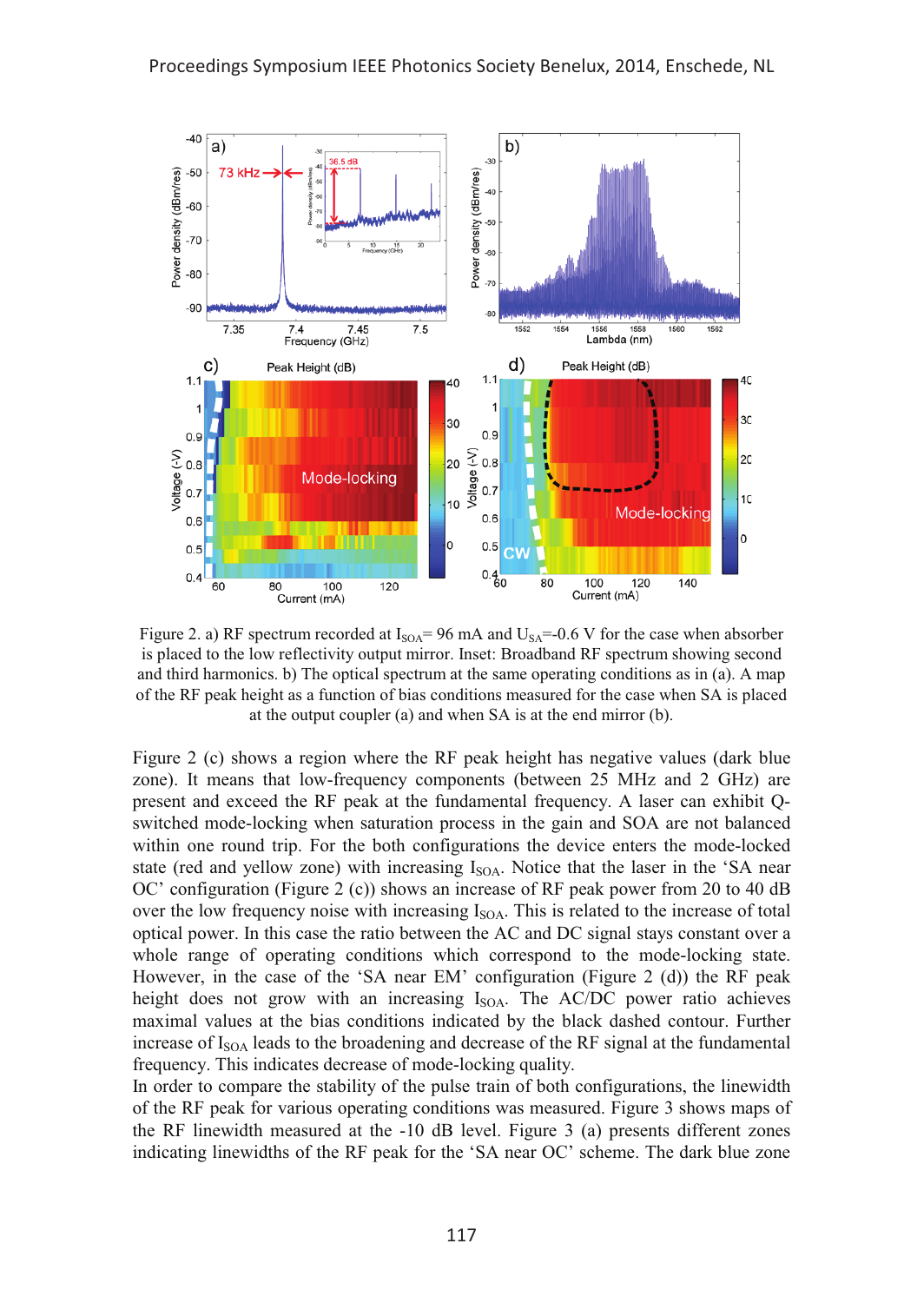

Figure 2. a) RF spectrum recorded at  $I_{\text{SOA}}=96 \text{ mA}$  and  $U_{\text{SA}}=-0.6 \text{ V}$  for the case when absorber is placed to the low reflectivity output mirror. Inset: Broadband RF spectrum showing second and third harmonics. b) The optical spectrum at the same operating conditions as in (a). A map of the RF peak height as a function of bias conditions measured for the case when SA is placed at the output coupler (a) and when SA is at the end mirror (b).

Figure 2 (c) shows a region where the RF peak height has negative values (dark blue zone). It means that low-frequency components (between 25 MHz and 2 GHz) are present and exceed the RF peak at the fundamental frequency. A laser can exhibit Qswitched mode-locking when saturation process in the gain and SOA are not balanced within one round trip. For the both configurations the device enters the mode-locked state (red and yellow zone) with increasing  $I_{\text{SOA}}$ . Notice that the laser in the 'SA near OC' configuration (Figure 2 (c)) shows an increase of RF peak power from 20 to 40 dB over the low frequency noise with increasing  $I_{\text{SOA}}$ . This is related to the increase of total optical power. In this case the ratio between the AC and DC signal stays constant over a whole range of operating conditions which correspond to the mode-locking state. However, in the case of the 'SA near EM' configuration (Figure 2 (d)) the RF peak height does not grow with an increasing I<sub>SOA</sub>. The AC/DC power ratio achieves maximal values at the bias conditions indicated by the black dashed contour. Further increase of  $I_{\text{SOA}}$  leads to the broadening and decrease of the RF signal at the fundamental frequency. This indicates decrease of mode-locking quality.

In order to compare the stability of the pulse train of both configurations, the linewidth of the RF peak for various operating conditions was measured. Figure 3 shows maps of the RF linewidth measured at the -10 dB level. Figure 3 (a) presents different zones indicating linewidths of the RF peak for the 'SA near OC' scheme. The dark blue zone